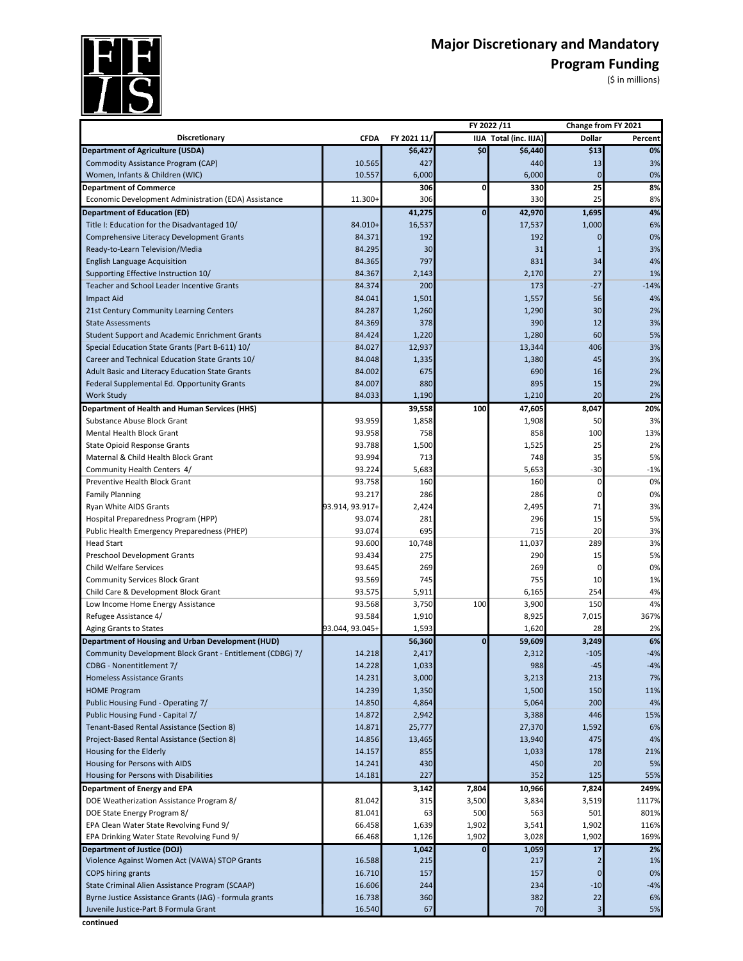

## Major Discretionary and Mandatory<br>Program Funding<br>(\$ in millions) **Program Funding** (\$ in millions)

|                                                                  |                  |             | FY 2022/11   |                        | Change from FY 2021 |          |
|------------------------------------------------------------------|------------------|-------------|--------------|------------------------|---------------------|----------|
| <b>Discretionary</b>                                             | <b>CFDA</b>      | FY 2021 11/ |              | IIJA Total (inc. IIJA) | Dollar              | Percent  |
| <b>Department of Agriculture (USDA)</b>                          |                  | \$6,427     | \$0          | \$6,440                | \$13                | 0%       |
| Commodity Assistance Program (CAP)                               | 10.565           | 427         |              | 440                    | 13                  | 3%       |
| Women, Infants & Children (WIC)                                  | 10.557           | 6,000       |              | 6,000                  | $\mathbf{0}$        | 0%       |
| <b>Department of Commerce</b>                                    |                  | 306         | 0            | 330                    | 25                  | 8%       |
| Economic Development Administration (EDA) Assistance             | 11.300+          | 306         |              | 330                    | 25                  | 8%       |
| <b>Department of Education (ED)</b>                              |                  | 41,275      | $\mathbf{0}$ | 42,970                 | 1,695               | 4%       |
| Title I: Education for the Disadvantaged 10/                     | 84.010+          | 16,537      |              | 17,537                 | 1,000               | 6%       |
| Comprehensive Literacy Development Grants                        | 84.371           | 192         |              | 192                    | 0                   | 0%       |
| Ready-to-Learn Television/Media                                  | 84.295           | 30          |              | 31                     | $\mathbf{1}$        | 3%       |
| <b>English Language Acquisition</b>                              | 84.365           | 797         |              | 831                    | 34                  | 4%       |
| Supporting Effective Instruction 10/                             | 84.367           | 2,143       |              | 2,170                  | 27                  | 1%       |
| Teacher and School Leader Incentive Grants                       | 84.374           | 200         |              | 173                    | $-27$               | $-14%$   |
| <b>Impact Aid</b>                                                | 84.041           | 1,501       |              | 1,557                  | 56                  | 4%       |
| 21st Century Community Learning Centers                          | 84.287           | 1,260       |              | 1,290                  | 30                  | 2%       |
| <b>State Assessments</b>                                         | 84.369           | 378         |              | 390                    | 12                  | 3%       |
| <b>Student Support and Academic Enrichment Grants</b>            | 84.424           | 1,220       |              | 1,280                  | 60                  | 5%       |
| Special Education State Grants (Part B-611) 10/                  | 84.027           | 12,937      |              | 13,344                 | 406                 | 3%       |
| Career and Technical Education State Grants 10/                  | 84.048           | 1,335       |              | 1,380                  | 45                  | 3%       |
| Adult Basic and Literacy Education State Grants                  | 84.002           | 675         |              | 690                    | 16                  | 2%       |
| Federal Supplemental Ed. Opportunity Grants                      | 84.007           | 880         |              | 895                    | 15                  | 2%       |
| <b>Work Study</b>                                                | 84.033           | 1,190       |              | 1,210                  | 20                  | 2%       |
| <b>Department of Health and Human Services (HHS)</b>             |                  | 39,558      | 100          | 47,605                 | 8,047               | 20%      |
| Substance Abuse Block Grant                                      | 93.959           | 1,858       |              | 1,908                  | 50                  | 3%       |
| <b>Mental Health Block Grant</b>                                 | 93.958           | 758         |              | 858                    | 100                 | 13%      |
| <b>State Opioid Response Grants</b>                              | 93.788           | 1,500       |              | 1,525                  | 25                  | 2%       |
| Maternal & Child Health Block Grant                              | 93.994           | 713         |              | 748                    | 35                  | 5%       |
| Community Health Centers 4/                                      | 93.224           | 5,683       |              | 5,653                  | $-30$               | $-1%$    |
| Preventive Health Block Grant                                    | 93.758           | 160         |              | 160                    | 0                   | 0%       |
| <b>Family Planning</b>                                           | 93.217           | 286         |              | 286                    | 0                   | 0%       |
| Ryan White AIDS Grants                                           | 93.914, 93.917+  | 2,424       |              | 2,495                  | 71                  | 3%       |
| Hospital Preparedness Program (HPP)                              | 93.074<br>93.074 | 281<br>695  |              | 296<br>715             | 15<br>20            | 5%       |
| Public Health Emergency Preparedness (PHEP)<br><b>Head Start</b> | 93.600           | 10,748      |              | 11,037                 | 289                 | 3%<br>3% |
| Preschool Development Grants                                     | 93.434           | 275         |              | 290                    | 15                  | 5%       |
| <b>Child Welfare Services</b>                                    | 93.645           | 269         |              | 269                    | 0                   | 0%       |
| <b>Community Services Block Grant</b>                            | 93.569           | 745         |              | 755                    | 10                  | 1%       |
| Child Care & Development Block Grant                             | 93.575           | 5,911       |              | 6,165                  | 254                 | 4%       |
| Low Income Home Energy Assistance                                | 93.568           | 3,750       | 100          | 3,900                  | 150                 | 4%       |
| Refugee Assistance 4/                                            | 93.584           | 1,910       |              | 8,925                  | 7,015               | 367%     |
| Aging Grants to States                                           | 93.044, 93.045+  | 1,593       |              | 1,620                  | 28                  | 2%       |
| <b>Department of Housing and Urban Development (HUD)</b>         |                  | 56,360      | $\bf{0}$     | 59,609                 | 3,249               | 6%       |
| Community Development Block Grant - Entitlement (CDBG) 7/        | 14.218           | 2,417       |              | 2,312                  | $-105$              | $-4%$    |
| CDBG - Nonentitlement 7/                                         | 14.228           | 1,033       |              | 988                    | -45                 | $-4%$    |
| <b>Homeless Assistance Grants</b>                                | 14.231           | 3,000       |              | 3,213                  | 213                 | 7%       |
| <b>HOME Program</b>                                              | 14.239           | 1,350       |              | 1,500                  | 150                 | 11%      |
| Public Housing Fund - Operating 7/                               | 14.850           | 4,864       |              | 5,064                  | 200                 | 4%       |
| Public Housing Fund - Capital 7/                                 | 14.872           | 2,942       |              | 3,388                  | 446                 | 15%      |
| Tenant-Based Rental Assistance (Section 8)                       | 14.871           | 25,777      |              | 27,370                 | 1,592               | 6%       |
| Project-Based Rental Assistance (Section 8)                      | 14.856           | 13,465      |              | 13,940                 | 475                 | 4%       |
| Housing for the Elderly                                          | 14.157           | 855         |              | 1,033                  | 178                 | 21%      |
| Housing for Persons with AIDS                                    | 14.241           | 430         |              | 450                    | 20                  | 5%       |
| Housing for Persons with Disabilities                            | 14.181           | 227         |              | 352                    | 125                 | 55%      |
| Department of Energy and EPA                                     |                  | 3,142       | 7,804        | 10,966                 | 7,824               | 249%     |
| DOE Weatherization Assistance Program 8/                         | 81.042           | 315         | 3,500        | 3,834                  | 3,519               | 1117%    |
| DOE State Energy Program 8/                                      | 81.041           | 63          | 500          | 563                    | 501                 | 801%     |
| EPA Clean Water State Revolving Fund 9/                          | 66.458           | 1,639       | 1,902        | 3,541                  | 1,902               | 116%     |
| EPA Drinking Water State Revolving Fund 9/                       | 66.468           | 1,126       | 1,902        | 3,028                  | 1,902               | 169%     |
| <b>Department of Justice (DOJ)</b>                               |                  | 1,042       | $\bf{0}$     | 1,059                  | 17                  | 2%       |
| Violence Against Women Act (VAWA) STOP Grants                    | 16.588           | 215         |              | 217                    | $\overline{2}$      | 1%       |
| <b>COPS hiring grants</b>                                        | 16.710           | 157         |              | 157                    | $\mathbf 0$         | 0%       |
| State Criminal Alien Assistance Program (SCAAP)                  | 16.606           | 244         |              | 234                    | $-10$               | $-4%$    |
| Byrne Justice Assistance Grants (JAG) - formula grants           | 16.738           | 360         |              | 382                    | 22                  | 6%       |
| Juvenile Justice-Part B Formula Grant                            | 16.540           | 67          |              | 70                     | 3                   | 5%       |

**continued**